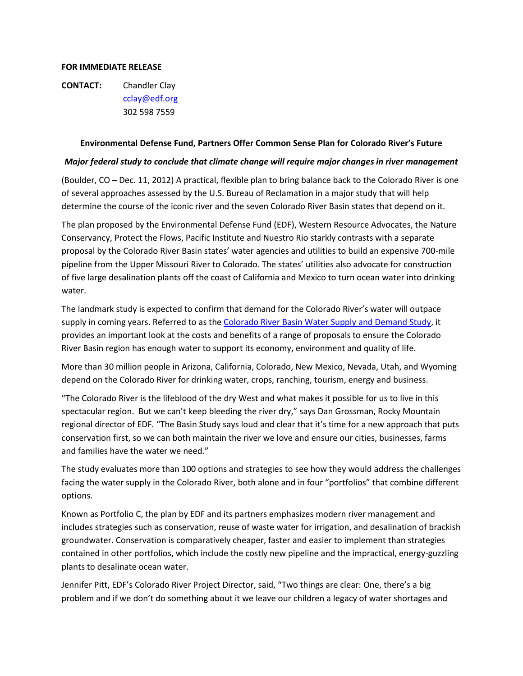## **FOR IMMEDIATE RELEASE**

**CONTACT:** Chandler Clay [cclay@edf.org](mailto:cclay@edf.org) 302 598 7559

## **Environmental Defense Fund, Partners Offer Common Sense Plan for Colorado River's Future**

## *Major federal study to conclude that climate change will require major changes in river management*

(Boulder, CO – Dec. 11, 2012) A practical, flexible plan to bring balance back to the Colorado River is one of several approaches assessed by the U.S. Bureau of Reclamation in a major study that will help determine the course of the iconic river and the seven Colorado River Basin states that depend on it.

The plan proposed by the Environmental Defense Fund (EDF), Western Resource Advocates, the Nature Conservancy, Protect the Flows, Pacific Institute and Nuestro Rio starkly contrasts with a separate proposal by the Colorado River Basin states' water agencies and utilities to build an expensive 700-mile pipeline from the Upper Missouri River to Colorado. The states' utilities also advocate for construction of five large desalination plants off the coast of California and Mexico to turn ocean water into drinking water.

The landmark study is expected to confirm that demand for the Colorado River's water will outpace supply in coming years. Referred to as the [Colorado River Basin Water Supply](http://www.usbr.gov/lc/region/programs/crbstudy.html) and Demand Study, it provides an important look at the costs and benefits of a range of proposals to ensure the Colorado River Basin region has enough water to support its economy, environment and quality of life.

More than 30 million people in Arizona, California, Colorado, New Mexico, Nevada, Utah, and Wyoming depend on the Colorado River for drinking water, crops, ranching, tourism, energy and business.

"The Colorado River is the lifeblood of the dry West and what makes it possible for us to live in this spectacular region. But we can't keep bleeding the river dry," says Dan Grossman, Rocky Mountain regional director of EDF*.* "The Basin Study says loud and clear that it's time for a new approach that puts conservation first, so we can both maintain the river we love and ensure our cities, businesses, farms and families have the water we need."

The study evaluates more than 100 options and strategies to see how they would address the challenges facing the water supply in the Colorado River, both alone and in four "portfolios" that combine different options.

Known as Portfolio C, the plan by EDF and its partners emphasizes modern river management and includes strategies such as conservation, reuse of waste water for irrigation, and desalination of brackish groundwater. Conservation is comparatively cheaper, faster and easier to implement than strategies contained in other portfolios, which include the costly new pipeline and the impractical, energy-guzzling plants to desalinate ocean water.

Jennifer Pitt, EDF's Colorado River Project Director, said, "Two things are clear: One, there's a big problem and if we don't do something about it we leave our children a legacy of water shortages and